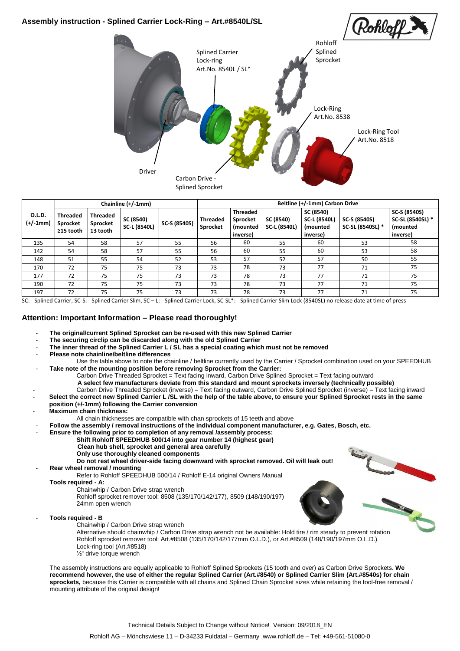# **Assembly instruction - Splined Carrier Lock-Ring – Art.#8540L/SL** Rohloll Rohloff Splined Carrier Splined Sprocket Lock-ring Art.No. 8540L / SL\* Lock-Ring Art.No. 8538 Lock-Ring Tool Art.No. 8518 DriverCarbon Drive Splined Sprocket

|                      | Chainline (+/-1mm)                       |                                         |                                  |              | Beltline (+/-1mm) Carbon Drive |                                                     |                           |                                                           |                                  |                                                                  |
|----------------------|------------------------------------------|-----------------------------------------|----------------------------------|--------------|--------------------------------|-----------------------------------------------------|---------------------------|-----------------------------------------------------------|----------------------------------|------------------------------------------------------------------|
| O.L.D.<br>$(+/-1mm)$ | <b>Threaded</b><br>Sprocket<br>≥15 tooth | <b>Threaded</b><br>Sprocket<br>13 tooth | SC (8540)<br><b>SC-L (8540L)</b> | SC-S (8540S) | <b>Threaded</b><br>Sprocket    | <b>Threaded</b><br>Sprocket<br>(mounted<br>inverse) | SC (8540)<br>SC-L (8540L) | SC (8540)<br>SC-L (8540L)<br><i>(mounted)</i><br>inverse) | SC-S (8540S)<br>SC-SL (8540SL) * | SC-S (8540S)<br>SC-SL (8540SL) *<br><i>(mounted)</i><br>inverse) |
| 135                  | 54                                       | 58                                      | 57                               | 55           | 56                             | 60                                                  | 55                        | 60                                                        | 53                               | 58                                                               |
| 142                  | 54                                       | 58                                      | 57                               | 55           | 56                             | 60                                                  | 55                        | 60                                                        | 53                               | 58                                                               |
| 148                  | 51                                       | 55                                      | 54                               | 52           | 53                             | 57                                                  | 52                        | 57                                                        | 50                               | 55                                                               |
| 170                  | 72                                       | 75                                      | 75                               | 73           | 73                             | 78                                                  | 73                        | 77                                                        | 71                               | 75                                                               |
| 177                  | 72                                       | 75                                      | 75                               | 73           | 73                             | 78                                                  | 73                        | 77                                                        | 71                               | 75                                                               |
| 190                  | 72                                       | 75                                      | 75                               | 73           | 73                             | 78                                                  | 73                        | 77                                                        | 71                               | 75                                                               |
| 197                  | 72                                       | 75                                      | 75                               | 73           | 73                             | 78                                                  | 73                        | 77                                                        | 71                               | 75                                                               |

SC: - Splined Carrier, SC-S: - Splined Carrier Slim, SC – L: - Splined Carrier Lock, SC-SL\*: - Splined Carrier Slim Lock (8540SL) no release date at time of press

#### **Attention: Important Information – Please read thoroughly!**

- The original/current Splined Sprocket can be re-used with this new Splined Carrier
- The securing circlip can be discarded along with the old Splined Carrier
- The inner thread of the Splined Carrier L / SL has a special coating which must not be removed
- **Please note chainline/beltline differences**
- Use the table above to note the chainline / beltline currently used by the Carrier / Sprocket combination used on your SPEEDHUB Take note of the mounting position before removing Sprocket from the Carrier:
	- Carbon Drive Threaded Sprocket = Text facing inward, Carbon Drive Splined Sprocket = Text facing outward
	- **A select few manufacturers deviate from this standard and mount sprockets inversely (technically possible)**
	- Carbon Drive Threaded Sprocket (inverse) = Text facing outward, Carbon Drive Splined Sprocket (inverse) = Text facing inward
- Select the correct new Splined Carrier L /SL with the help of the table above, to ensure your Splined Sprocket rests in the same **position (+/-1mm) following the Carrier conversion**
- 
- **Maximum chain thickness:**
	- All chain thicknesses are compatible with chan sprockets of 15 teeth and above
	- **Follow the assembly / removal instructions of the individual component manufacturer, e.g. Gates, Bosch, etc.**
		- **Ensure the following prior to completion of any removal /assembly process:**
			- **Shift Rohloff SPEEDHUB 500/14 into gear number 14 (highest gear)**
			- **Clean hub shell, sprocket and general area carefully**
			- **Only use thoroughly cleaned components**
		- **Do not rest wheel driver-side facing downward with sprocket removed. Oil will leak out!** - **Rear wheel removal / mounting**
- - Refer to Rohloff SPEEDHUB 500/14 / Rohloff E-14 original Owners Manual
	- **Tools required - A:**
		- Chainwhip / Carbon Drive strap wrench
		- Rohloff sprocket remover tool: 8508 (135/170/142/177), 8509 (148/190/197) 24mm open wrench
- **Tools required - B**
	- Chainwhip / Carbon Drive strap wrench



- Alternative should chainwhip / Carbon Drive strap wrench not be available: Hold tire / rim steady to prevent rotation Rohloff sprocket remover tool: Art.#8508 (135/170/142/177mm O.L.D.), or Art.#8509 (148/190/197mm O.L.D.) Lock-ring tool (Art.#8518)
- ½" drive torque wrench

The assembly instructions are equally applicable to Rohloff Splined Sprockets (15 tooth and over) as Carbon Drive Sprockets. **We recommend however, the use of either the regular Splined Carrier (Art.#8540) or Splined Carrier Slim (Art.#8540s) for chain sprockets,** because this Carrier is compatible with all chains and Splined Chain Sprocket sizes while retaining the tool-free removal / mounting attribute of the original design!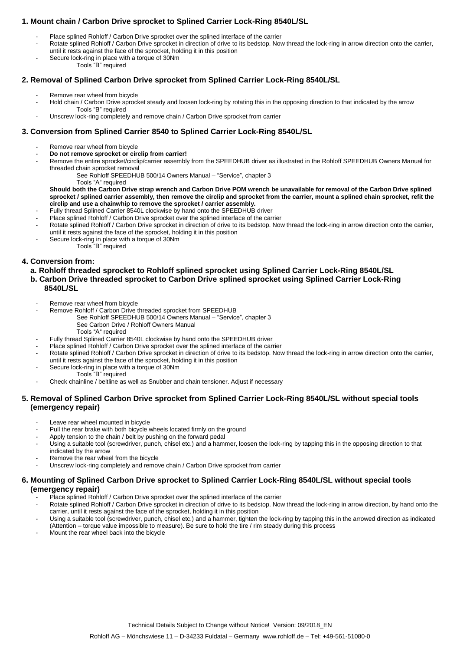### **1. Mount chain / Carbon Drive sprocket to Splined Carrier Lock-Ring 8540L/SL**

- Place splined Rohloff / Carbon Drive sprocket over the splined interface of the carrier
- Rotate splined Rohloff / Carbon Drive sprocket in direction of drive to its bedstop. Now thread the lock-ring in arrow direction onto the carrier, until it rests against the face of the sprocket, holding it in this position
- Secure lock-ring in place with a torque of 30Nm Tools "B" required

## **2. Removal of Splined Carbon Drive sprocket from Splined Carrier Lock-Ring 8540L/SL**

- Remove rear wheel from bicycle
- Hold chain / Carbon Drive sprocket steady and loosen lock-ring by rotating this in the opposing direction to that indicated by the arrow Tools "B" required
- Unscrew lock-ring completely and remove chain / Carbon Drive sprocket from carrier

### **3. Conversion from Splined Carrier 8540 to Splined Carrier Lock-Ring 8540L/SL**

- Remove rear wheel from bicycle
- **Do not remove sprocket or circlip from carrier!**
- Remove the entire sprocket/circlip/carrier assembly from the SPEEDHUB driver as illustrated in the Rohloff SPEEDHUB Owners Manual for threaded chain sprocket removal
	- See Rohloff SPEEDHUB 500/14 Owners Manual "Service", chapter 3 Tools "A" required

**Should both the Carbon Drive strap wrench and Carbon Drive POM wrench be unavailable for removal of the Carbon Drive splined sprocket / splined carrier assembly, then remove the circlip and sprocket from the carrier, mount a splined chain sprocket, refit the circlip and use a chainwhip to remove the sprocket / carrier assembly.**

- Fully thread Splined Carrier 8540L clockwise by hand onto the SPEEDHUB driver
- Place splined Rohloff / Carbon Drive sprocket over the splined interface of the carrier
- Rotate splined Rohloff / Carbon Drive sprocket in direction of drive to its bedstop. Now thread the lock-ring in arrow direction onto the carrier, until it rests against the face of the sprocket, holding it in this position
- Secure lock-ring in place with a torque of 30Nm Tools "B" required

### **4. Conversion from:**

#### **a. Rohloff threaded sprocket to Rohloff splined sprocket using Splined Carrier Lock-Ring 8540L/SL**

- **b. Carbon Drive threaded sprocket to Carbon Drive splined sprocket using Splined Carrier Lock-Ring 8540L/SL**
	- Remove rear wheel from bicycle
	- Remove Rohloff / Carbon Drive threaded sprocket from SPEEDHUB
		- See Rohloff SPEEDHUB 500/14 Owners Manual "Service", chapter 3 See Carbon Drive / Rohloff Owners Manual
			- Tools "A" required
	- Fully thread Splined Carrier 8540L clockwise by hand onto the SPEEDHUB driver
		- Place splined Rohloff / Carbon Drive sprocket over the splined interface of the carrier
	- Rotate splined Rohloff / Carbon Drive sprocket in direction of drive to its bedstop. Now thread the lock-ring in arrow direction onto the carrier, until it rests against the face of the sprocket, holding it in this position
	- Secure lock-ring in place with a torque of 30Nm
	- Tools "B" required
	- Check chainline / beltline as well as Snubber and chain tensioner. Adjust if necessary

#### **5. Removal of Splined Carbon Drive sprocket from Splined Carrier Lock-Ring 8540L/SL without special tools (emergency repair)**

- Leave rear wheel mounted in bicycle
- Pull the rear brake with both bicycle wheels located firmly on the ground
- Apply tension to the chain / belt by pushing on the forward pedal
- Using a suitable tool (screwdriver, punch, chisel etc.) and a hammer, loosen the lock-ring by tapping this in the opposing direction to that indicated by the arrow
- Remove the rear wheel from the bicycle
- Unscrew lock-ring completely and remove chain / Carbon Drive sprocket from carrier

#### **6. Mounting of Splined Carbon Drive sprocket to Splined Carrier Lock-Ring 8540L/SL without special tools (emergency repair)**

- Place splined Rohloff / Carbon Drive sprocket over the splined interface of the carrier
- Rotate splined Rohloff / Carbon Drive sprocket in direction of drive to its bedstop. Now thread the lock-ring in arrow direction, by hand onto the carrier, until it rests against the face of the sprocket, holding it in this position
- Using a suitable tool (screwdriver, punch, chisel etc.) and a hammer, tighten the lock-ring by tapping this in the arrowed direction as indicated (Attention – torque value impossible to measure). Be sure to hold the tire / rim steady during this process
- Mount the rear wheel back into the bicycle